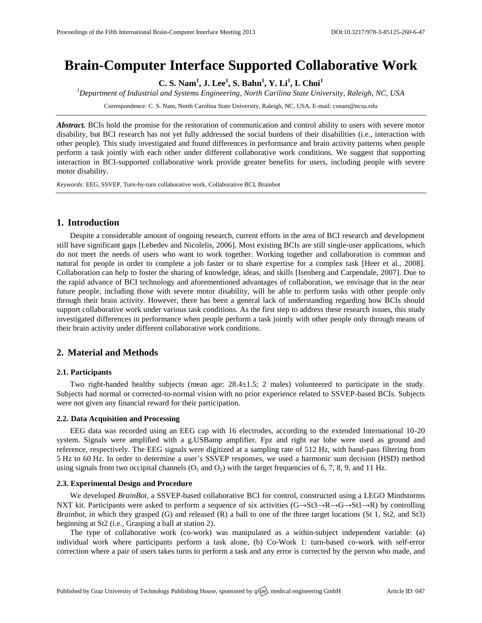# **Brain-Computer Interface Supported Collaborative Work**

**C. S. Nam<sup>1</sup> , J. Lee<sup>1</sup> , S. Bahn<sup>1</sup> , Y. Li<sup>1</sup> , I. Choi<sup>1</sup>**

*<sup>1</sup>Department of Industrial and Systems Engineering, North Carilina State University, Raleigh, NC, USA*

Correspondence: C. S. Nam, North Carolina State University, Raleigh, NC, USA. E-mail[: csnam@ncsu.edu](mailto:csnam@ncsu.edu)

*Abstract.* BCIs hold the promise for the restoration of communication and control ability to users with severe motor disability, but BCI research has not yet fully addressed the social burdens of their disabilities (i.e., interaction with other people). This study investigated and found differences in performance and brain activity patterns when people perform a task jointly with each other under different collaborative work conditions. We suggest that supporting interaction in BCI-supported collaborative work provide greater benefits for users, including people with severe motor disability.

*Keywords:* EEG, SSVEP, Turn-by-turn collaborative work, Collaborative BCI, Brainbot

## **1. Introduction**

Despite a considerable amount of ongoing research, current efforts in the area of BCI research and development still have significant gaps [Lebedev and Nicolelis, 2006]. Most existing BCIs are still single-user applications, which do not meet the needs of users who want to work together. Working together and collaboration is common and natural for people in order to complete a job faster or to share expertise for a complex task [Heer et al., 2008]. Collaboration can help to foster the sharing of knowledge, ideas, and skills [Isenberg and Carpendale, 2007]. Due to the rapid advance of BCI technology and aforementioned advantages of collaboration, we envisage that in the near future people, including those with severe motor disability, will be able to perform tasks with other people only through their brain activity. However, there has been a general lack of understanding regarding how BCIs should support collaborative work under various task conditions. As the first step to address these research issues, this study investigated differences in performance when people perform a task jointly with other people only through means of their brain activity under different collaborative work conditions.

# **2. Material and Methods**

#### **2.1. Participants**

Two right-handed healthy subjects (mean age: 28.4±1.5; 2 males) volunteered to participate in the study. Subjects had normal or corrected-to-normal vision with no prior experience related to SSVEP-based BCIs. Subjects were not given any financial reward for their participation.

#### **2.2. Data Acquisition and Processing**

EEG data was recorded using an EEG cap with 16 electrodes, according to the extended International 10-20 system. Signals were amplified with a g.USBamp amplifier. Fpz and right ear lobe were used as ground and reference, respectively. The EEG signals were digitized at a sampling rate of 512 Hz, with band-pass filtering from 5 Hz to 60 Hz. In order to determine a user's SSVEP responses, we used a harmonic sum decision (HSD) method using signals from two occipital channels  $(O_1 \text{ and } O_2)$  with the target frequencies of 6, 7, 8, 9, and 11 Hz.

#### **2.3. Experimental Design and Procedure**

We developed *BrainBot,* a SSVEP-based collaborative BCI for control, constructed using a LEGO Mindstorms NXT kit. Participants were asked to perform a sequence of six activities  $(G \rightarrow St3 \rightarrow R \rightarrow G \rightarrow St1 \rightarrow R)$  by controlling *Brainbot,* in which they grasped (G) and released (R) a ball to one of the three target locations (St 1, St2, and St3) beginning at St2 (i.e., Grasping a ball at station 2).

The type of collaborative work (co-work) was manipulated as a within-subject independent variable: (a) individual work where participants perform a task alone, (b) Co-Work 1: turn-based co-work with self-error correction where a pair of users takes turns to perform a task and any error is corrected by the person who made, and